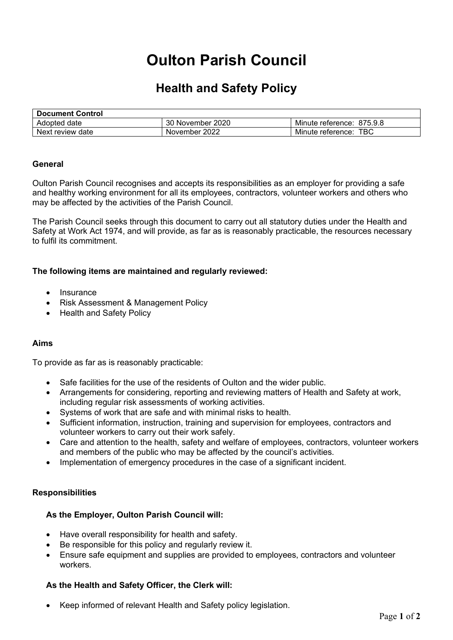# **Oulton Parish Council**

## **Health and Safety Policy**

| <b>Document Control</b> |                  |                           |
|-------------------------|------------------|---------------------------|
| Adopted date            | 30 November 2020 | Minute reference: 875.9.8 |
| Next review date        | November 2022    | Minute reference: TBC     |

#### **General**

Oulton Parish Council recognises and accepts its responsibilities as an employer for providing a safe and healthy working environment for all its employees, contractors, volunteer workers and others who may be affected by the activities of the Parish Council.

The Parish Council seeks through this document to carry out all statutory duties under the Health and Safety at Work Act 1974, and will provide, as far as is reasonably practicable, the resources necessary to fulfil its commitment.

#### **The following items are maintained and regularly reviewed:**

- Insurance
- Risk Assessment & Management Policy
- Health and Safety Policy

#### **Aims**

To provide as far as is reasonably practicable:

- Safe facilities for the use of the residents of Oulton and the wider public.
- Arrangements for considering, reporting and reviewing matters of Health and Safety at work, including regular risk assessments of working activities.
- Systems of work that are safe and with minimal risks to health.
- Sufficient information, instruction, training and supervision for employees, contractors and volunteer workers to carry out their work safely.
- Care and attention to the health, safety and welfare of employees, contractors, volunteer workers and members of the public who may be affected by the council's activities.
- Implementation of emergency procedures in the case of a significant incident.

#### **Responsibilities**

#### **As the Employer, Oulton Parish Council will:**

- Have overall responsibility for health and safety.
- Be responsible for this policy and regularly review it.
- Ensure safe equipment and supplies are provided to employees, contractors and volunteer workers.

#### **As the Health and Safety Officer, the Clerk will:**

• Keep informed of relevant Health and Safety policy legislation.